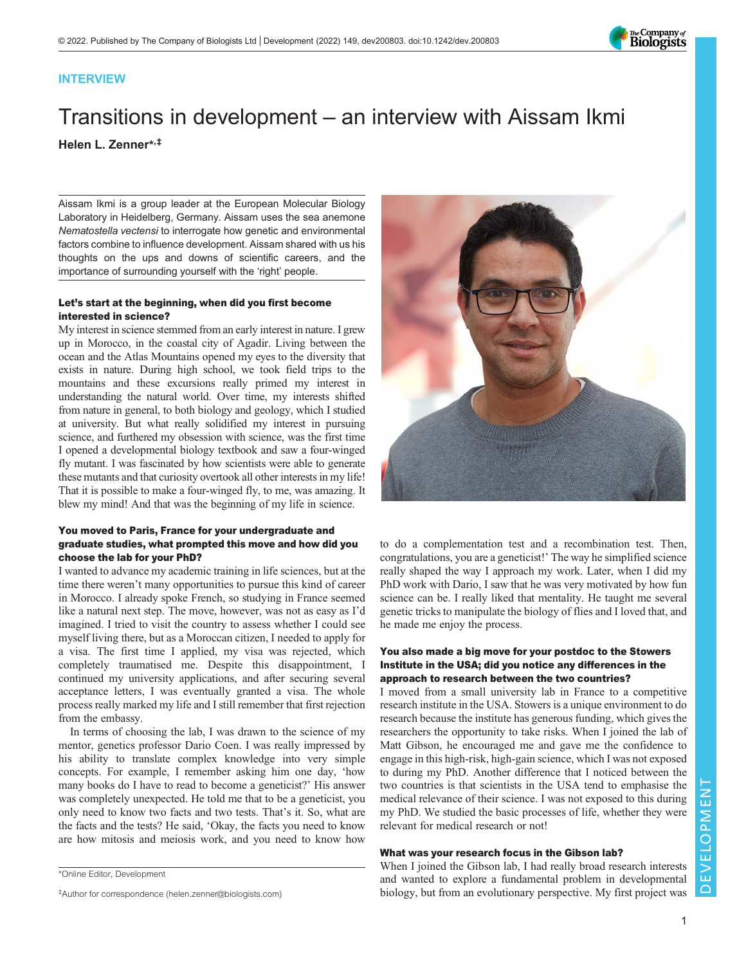

# INTERVIEW

# Transitions in development – an interview with Aissam Ikmi Helen L. Zenner\* ,‡

Aissam Ikmi is a group leader at the European Molecular Biology Laboratory in Heidelberg, Germany. Aissam uses the sea anemone Nematostella vectensi to interrogate how genetic and environmental factors combine to influence development. Aissam shared with us his thoughts on the ups and downs of scientific careers, and the importance of surrounding yourself with the 'right' people.

# Let's start at the beginning, when did you first become interested in science?

My interest in science stemmed from an early interest in nature. I grew up in Morocco, in the coastal city of Agadir. Living between the ocean and the Atlas Mountains opened my eyes to the diversity that exists in nature. During high school, we took field trips to the mountains and these excursions really primed my interest in understanding the natural world. Over time, my interests shifted from nature in general, to both biology and geology, which I studied at university. But what really solidified my interest in pursuing science, and furthered my obsession with science, was the first time I opened a developmental biology textbook and saw a four-winged fly mutant. I was fascinated by how scientists were able to generate these mutants and that curiosity overtook all other interests in my life! That it is possible to make a four-winged fly, to me, was amazing. It blew my mind! And that was the beginning of my life in science.

# You moved to Paris, France for your undergraduate and graduate studies, what prompted this move and how did you choose the lab for your PhD?

I wanted to advance my academic training in life sciences, but at the time there weren't many opportunities to pursue this kind of career in Morocco. I already spoke French, so studying in France seemed like a natural next step. The move, however, was not as easy as I'd imagined. I tried to visit the country to assess whether I could see myself living there, but as a Moroccan citizen, I needed to apply for a visa. The first time I applied, my visa was rejected, which completely traumatised me. Despite this disappointment, I continued my university applications, and after securing several acceptance letters, I was eventually granted a visa. The whole process really marked my life and I still remember that first rejection from the embassy.

In terms of choosing the lab, I was drawn to the science of my mentor, genetics professor Dario Coen. I was really impressed by his ability to translate complex knowledge into very simple concepts. For example, I remember asking him one day, 'how many books do I have to read to become a geneticist?' His answer was completely unexpected. He told me that to be a geneticist, you only need to know two facts and two tests. That's it. So, what are the facts and the tests? He said, 'Okay, the facts you need to know are how mitosis and meiosis work, and you need to know how



to do a complementation test and a recombination test. Then, congratulations, you are a geneticist!' The way he simplified science really shaped the way I approach my work. Later, when I did my PhD work with Dario, I saw that he was very motivated by how fun science can be. I really liked that mentality. He taught me several genetic tricks to manipulate the biology of flies and I loved that, and he made me enjoy the process.

# You also made a big move for your postdoc to the Stowers Institute in the USA; did you notice any differences in the approach to research between the two countries?

I moved from a small university lab in France to a competitive research institute in the USA. Stowers is a unique environment to do research because the institute has generous funding, which gives the researchers the opportunity to take risks. When I joined the lab of Matt Gibson, he encouraged me and gave me the confidence to engage in this high-risk, high-gain science, which I was not exposed to during my PhD. Another difference that I noticed between the two countries is that scientists in the USA tend to emphasise the medical relevance of their science. I was not exposed to this during my PhD. We studied the basic processes of life, whether they were relevant for medical research or not!

# What was your research focus in the Gibson lab?

When I joined the Gibson lab, I had really broad research interests and wanted to explore a fundamental problem in developmental biology, but from an evolutionary perspective. My first project was

<sup>\*</sup>Online Editor, Development

<sup>‡</sup>Author for correspondence ([helen.zenner@biologists.com](mailto:helen.zenner@biologists.com))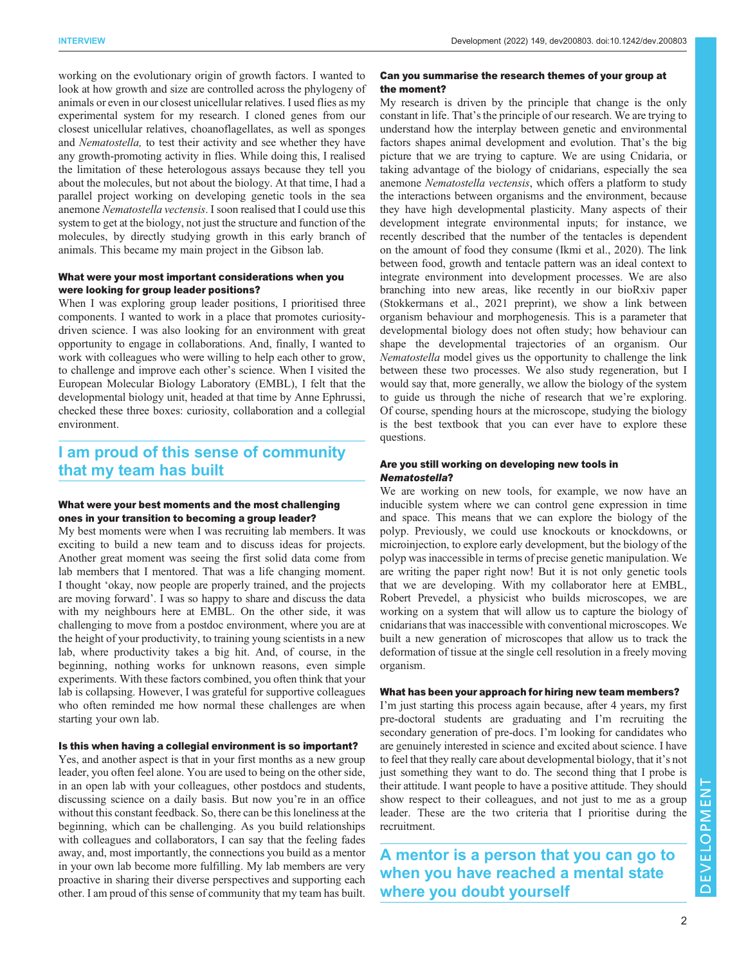working on the evolutionary origin of growth factors. I wanted to look at how growth and size are controlled across the phylogeny of animals or even in our closest unicellular relatives. I used flies as my experimental system for my research. I cloned genes from our closest unicellular relatives, choanoflagellates, as well as sponges and Nematostella, to test their activity and see whether they have any growth-promoting activity in flies. While doing this, I realised the limitation of these heterologous assays because they tell you about the molecules, but not about the biology. At that time, I had a parallel project working on developing genetic tools in the sea anemone Nematostella vectensis. I soon realised that I could use this system to get at the biology, not just the structure and function of the molecules, by directly studying growth in this early branch of animals. This became my main project in the Gibson lab.

#### What were your most important considerations when you were looking for group leader positions?

When I was exploring group leader positions, I prioritised three components. I wanted to work in a place that promotes curiositydriven science. I was also looking for an environment with great opportunity to engage in collaborations. And, finally, I wanted to work with colleagues who were willing to help each other to grow, to challenge and improve each other's science. When I visited the European Molecular Biology Laboratory (EMBL), I felt that the developmental biology unit, headed at that time by Anne Ephrussi, checked these three boxes: curiosity, collaboration and a collegial environment.

# I am proud of this sense of community that my team has built

## What were your best moments and the most challenging ones in your transition to becoming a group leader?

My best moments were when I was recruiting lab members. It was exciting to build a new team and to discuss ideas for projects. Another great moment was seeing the first solid data come from lab members that I mentored. That was a life changing moment. I thought 'okay, now people are properly trained, and the projects are moving forward'. I was so happy to share and discuss the data with my neighbours here at EMBL. On the other side, it was challenging to move from a postdoc environment, where you are at the height of your productivity, to training young scientists in a new lab, where productivity takes a big hit. And, of course, in the beginning, nothing works for unknown reasons, even simple experiments. With these factors combined, you often think that your lab is collapsing. However, I was grateful for supportive colleagues who often reminded me how normal these challenges are when starting your own lab.

#### Is this when having a collegial environment is so important?

Yes, and another aspect is that in your first months as a new group leader, you often feel alone. You are used to being on the other side, in an open lab with your colleagues, other postdocs and students, discussing science on a daily basis. But now you're in an office without this constant feedback. So, there can be this loneliness at the beginning, which can be challenging. As you build relationships with colleagues and collaborators, I can say that the feeling fades away, and, most importantly, the connections you build as a mentor in your own lab become more fulfilling. My lab members are very proactive in sharing their diverse perspectives and supporting each other. I am proud of this sense of community that my team has built.

#### Can you summarise the research themes of your group at the moment?

My research is driven by the principle that change is the only constant in life. That's the principle of our research. We are trying to understand how the interplay between genetic and environmental factors shapes animal development and evolution. That's the big picture that we are trying to capture. We are using Cnidaria, or taking advantage of the biology of cnidarians, especially the sea anemone Nematostella vectensis, which offers a platform to study the interactions between organisms and the environment, because they have high developmental plasticity. Many aspects of their development integrate environmental inputs; for instance, we recently described that the number of the tentacles is dependent on the amount of food they consume ([Ikmi et al., 2020](#page-2-0)). The link between food, growth and tentacle pattern was an ideal context to integrate environment into development processes. We are also branching into new areas, like recently in our bioRxiv paper [\(Stokkermans et al., 2021](#page-2-0) preprint), we show a link between organism behaviour and morphogenesis. This is a parameter that developmental biology does not often study; how behaviour can shape the developmental trajectories of an organism. Our Nematostella model gives us the opportunity to challenge the link between these two processes. We also study regeneration, but I would say that, more generally, we allow the biology of the system to guide us through the niche of research that we're exploring. Of course, spending hours at the microscope, studying the biology is the best textbook that you can ever have to explore these questions.

#### Are you still working on developing new tools in Nematostella?

We are working on new tools, for example, we now have an inducible system where we can control gene expression in time and space. This means that we can explore the biology of the polyp. Previously, we could use knockouts or knockdowns, or microinjection, to explore early development, but the biology of the polyp was inaccessible in terms of precise genetic manipulation. We are writing the paper right now! But it is not only genetic tools that we are developing. With my collaborator here at EMBL, Robert Prevedel, a physicist who builds microscopes, we are working on a system that will allow us to capture the biology of cnidarians that was inaccessible with conventional microscopes. We built a new generation of microscopes that allow us to track the deformation of tissue at the single cell resolution in a freely moving organism.

#### What has been your approach for hiring new team members?

I'm just starting this process again because, after 4 years, my first pre-doctoral students are graduating and I'm recruiting the secondary generation of pre-docs. I'm looking for candidates who are genuinely interested in science and excited about science. I have to feel that they really care about developmental biology, that it's not just something they want to do. The second thing that I probe is their attitude. I want people to have a positive attitude. They should show respect to their colleagues, and not just to me as a group leader. These are the two criteria that I prioritise during the recruitment.

A mentor is a person that you can go to when you have reached a mental state where you doubt yourself